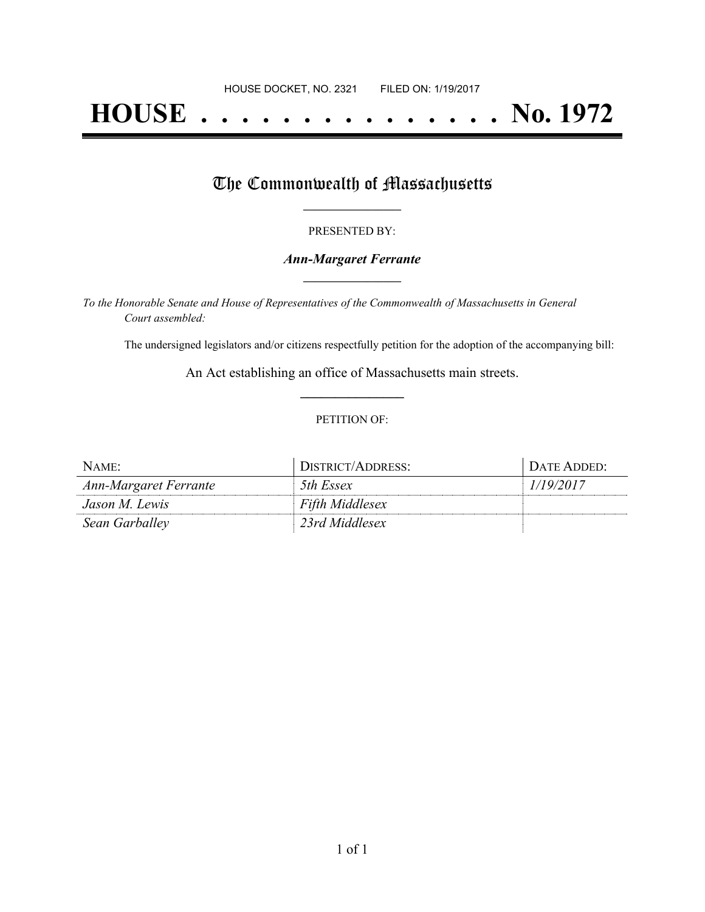# **HOUSE . . . . . . . . . . . . . . . No. 1972**

## The Commonwealth of Massachusetts

#### PRESENTED BY:

#### *Ann-Margaret Ferrante* **\_\_\_\_\_\_\_\_\_\_\_\_\_\_\_\_\_**

*To the Honorable Senate and House of Representatives of the Commonwealth of Massachusetts in General Court assembled:*

The undersigned legislators and/or citizens respectfully petition for the adoption of the accompanying bill:

An Act establishing an office of Massachusetts main streets. **\_\_\_\_\_\_\_\_\_\_\_\_\_\_\_**

#### PETITION OF:

| NAME:                 | DISTRICT/ADDRESS:      | Date Added:- |
|-----------------------|------------------------|--------------|
| Ann-Margaret Ferrante | 5th Essex              | 1/19/2017    |
| Jason M. Lewis        | <b>Fifth Middlesex</b> |              |
| Sean Garballey        | 23rd Middlesex         |              |